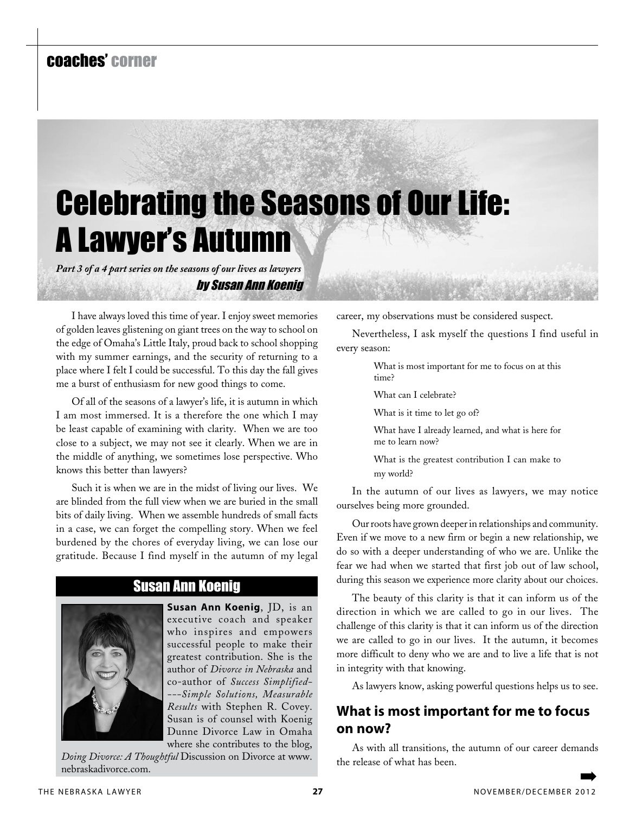# coaches' corner

# Celebrating the Seasons of Our Life: A Lawyer's Autumn

*Part 3 of a 4 part series on the seasons of our lives as lawyers* by Susan Ann Koenig

I have always loved this time of year. I enjoy sweet memories of golden leaves glistening on giant trees on the way to school on the edge of Omaha's Little Italy, proud back to school shopping with my summer earnings, and the security of returning to a place where I felt I could be successful. To this day the fall gives me a burst of enthusiasm for new good things to come.

Of all of the seasons of a lawyer's life, it is autumn in which I am most immersed. It is a therefore the one which I may be least capable of examining with clarity. When we are too close to a subject, we may not see it clearly. When we are in the middle of anything, we sometimes lose perspective. Who knows this better than lawyers?

Such it is when we are in the midst of living our lives. We are blinded from the full view when we are buried in the small bits of daily living. When we assemble hundreds of small facts in a case, we can forget the compelling story. When we feel burdened by the chores of everyday living, we can lose our gratitude. Because I find myself in the autumn of my legal

# Susan Ann Koenig



**Susan Ann Koenig**, JD, is an executive coach and speaker who inspires and empowers successful people to make their greatest contribution. She is the author of *Divorce in Nebraska* and co-author of *Success Simplified- ---Simple Solutions, Measurable Results* with Stephen R. Covey. Susan is of counsel with Koenig Dunne Divorce Law in Omaha where she contributes to the blog,

*Doing Divorce: A Thoughtful* Discussion on Divorce at www. nebraskadivorce.com.

career, my observations must be considered suspect.

Nevertheless, I ask myself the questions I find useful in every season:

> What is most important for me to focus on at this time?

What can I celebrate?

What is it time to let go of?

What have I already learned, and what is here for me to learn now?

What is the greatest contribution I can make to my world?

In the autumn of our lives as lawyers, we may notice ourselves being more grounded.

Our roots have grown deeper in relationships and community. Even if we move to a new firm or begin a new relationship, we do so with a deeper understanding of who we are. Unlike the fear we had when we started that first job out of law school, during this season we experience more clarity about our choices.

The beauty of this clarity is that it can inform us of the direction in which we are called to go in our lives. The challenge of this clarity is that it can inform us of the direction we are called to go in our lives. It the autumn, it becomes more difficult to deny who we are and to live a life that is not in integrity with that knowing.

As lawyers know, asking powerful questions helps us to see.

# **What is most important for me to focus on now?**

As with all transitions, the autumn of our career demands the release of what has been.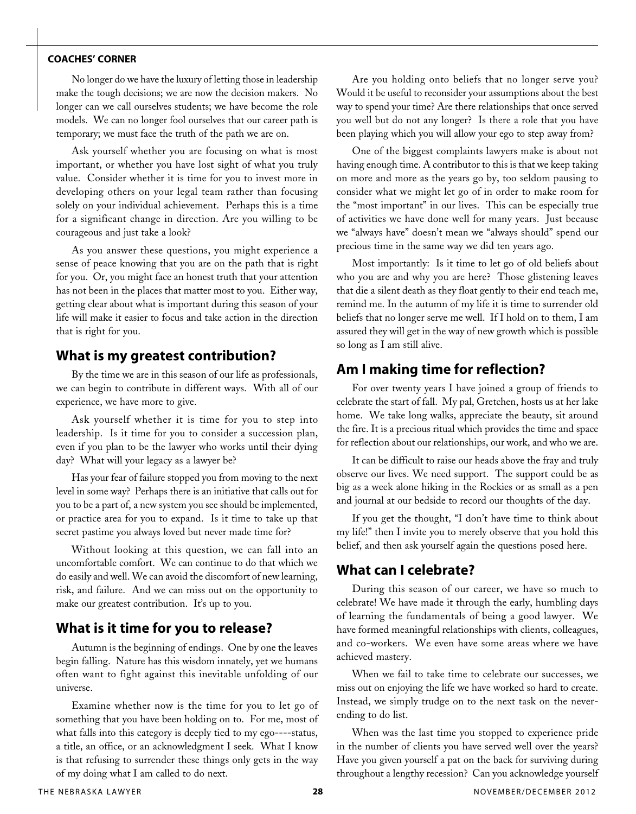#### **coaches' corner**

No longer do we have the luxury of letting those in leadership make the tough decisions; we are now the decision makers. No longer can we call ourselves students; we have become the role models. We can no longer fool ourselves that our career path is temporary; we must face the truth of the path we are on.

Ask yourself whether you are focusing on what is most important, or whether you have lost sight of what you truly value. Consider whether it is time for you to invest more in developing others on your legal team rather than focusing solely on your individual achievement. Perhaps this is a time for a significant change in direction. Are you willing to be courageous and just take a look?

As you answer these questions, you might experience a sense of peace knowing that you are on the path that is right for you. Or, you might face an honest truth that your attention has not been in the places that matter most to you. Either way, getting clear about what is important during this season of your life will make it easier to focus and take action in the direction that is right for you.

# **What is my greatest contribution?**

By the time we are in this season of our life as professionals, we can begin to contribute in different ways. With all of our experience, we have more to give.

Ask yourself whether it is time for you to step into leadership. Is it time for you to consider a succession plan, even if you plan to be the lawyer who works until their dying day? What will your legacy as a lawyer be?

Has your fear of failure stopped you from moving to the next level in some way? Perhaps there is an initiative that calls out for you to be a part of, a new system you see should be implemented, or practice area for you to expand. Is it time to take up that secret pastime you always loved but never made time for?

Without looking at this question, we can fall into an uncomfortable comfort. We can continue to do that which we do easily and well. We can avoid the discomfort of new learning, risk, and failure. And we can miss out on the opportunity to make our greatest contribution. It's up to you.

### **What is it time for you to release?**

Autumn is the beginning of endings. One by one the leaves begin falling. Nature has this wisdom innately, yet we humans often want to fight against this inevitable unfolding of our universe.

Examine whether now is the time for you to let go of something that you have been holding on to. For me, most of what falls into this category is deeply tied to my ego----status, a title, an office, or an acknowledgment I seek. What I know is that refusing to surrender these things only gets in the way of my doing what I am called to do next.

Are you holding onto beliefs that no longer serve you? Would it be useful to reconsider your assumptions about the best way to spend your time? Are there relationships that once served you well but do not any longer? Is there a role that you have been playing which you will allow your ego to step away from?

One of the biggest complaints lawyers make is about not having enough time. A contributor to this is that we keep taking on more and more as the years go by, too seldom pausing to consider what we might let go of in order to make room for the "most important" in our lives. This can be especially true of activities we have done well for many years. Just because we "always have" doesn't mean we "always should" spend our precious time in the same way we did ten years ago.

Most importantly: Is it time to let go of old beliefs about who you are and why you are here? Those glistening leaves that die a silent death as they float gently to their end teach me, remind me. In the autumn of my life it is time to surrender old beliefs that no longer serve me well. If I hold on to them, I am assured they will get in the way of new growth which is possible so long as I am still alive.

### **Am I making time for reflection?**

For over twenty years I have joined a group of friends to celebrate the start of fall. My pal, Gretchen, hosts us at her lake home. We take long walks, appreciate the beauty, sit around the fire. It is a precious ritual which provides the time and space for reflection about our relationships, our work, and who we are.

It can be difficult to raise our heads above the fray and truly observe our lives. We need support. The support could be as big as a week alone hiking in the Rockies or as small as a pen and journal at our bedside to record our thoughts of the day.

If you get the thought, "I don't have time to think about my life!" then I invite you to merely observe that you hold this belief, and then ask yourself again the questions posed here.

## **What can I celebrate?**

During this season of our career, we have so much to celebrate! We have made it through the early, humbling days of learning the fundamentals of being a good lawyer. We have formed meaningful relationships with clients, colleagues, and co-workers. We even have some areas where we have achieved mastery.

When we fail to take time to celebrate our successes, we miss out on enjoying the life we have worked so hard to create. Instead, we simply trudge on to the next task on the neverending to do list.

When was the last time you stopped to experience pride in the number of clients you have served well over the years? Have you given yourself a pat on the back for surviving during throughout a lengthy recession? Can you acknowledge yourself